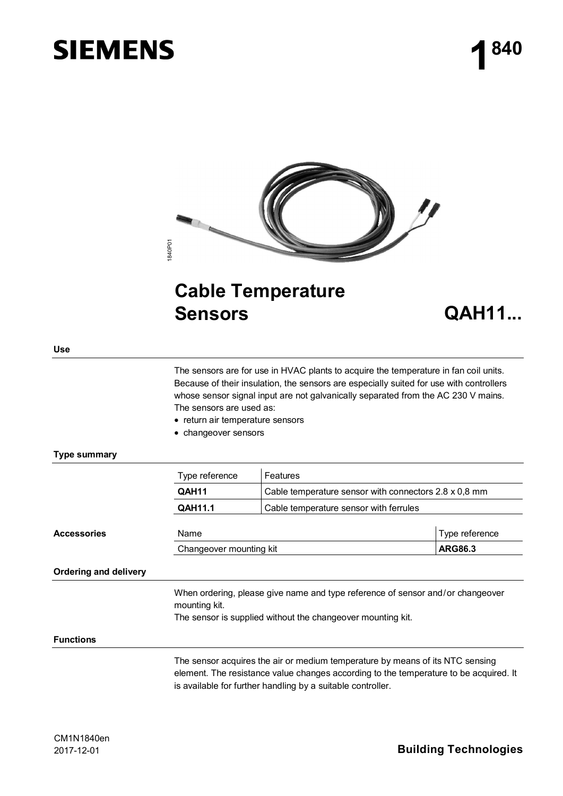# **SIEMENS**



## **Cable Temperature Sensors QAH11...**

**Use** 

The sensors are for use in HVAC plants to acquire the temperature in fan coil units. Because of their insulation, the sensors are especially suited for use with controllers whose sensor signal input are not galvanically separated from the AC 230 V mains. The sensors are used as:

- return air temperature sensors
- changeover sensors

### **Type summary**

|                       | Type reference                                                                                  | Features                                                                                                                                                                                                                              |                |  |  |  |
|-----------------------|-------------------------------------------------------------------------------------------------|---------------------------------------------------------------------------------------------------------------------------------------------------------------------------------------------------------------------------------------|----------------|--|--|--|
|                       | QAH11                                                                                           | Cable temperature sensor with connectors 2.8 x 0,8 mm                                                                                                                                                                                 |                |  |  |  |
|                       | <b>QAH11.1</b>                                                                                  | Cable temperature sensor with ferrules                                                                                                                                                                                                |                |  |  |  |
| <b>Accessories</b>    | Name                                                                                            |                                                                                                                                                                                                                                       | Type reference |  |  |  |
|                       | Changeover mounting kit                                                                         |                                                                                                                                                                                                                                       | <b>ARG86.3</b> |  |  |  |
| Ordering and delivery |                                                                                                 |                                                                                                                                                                                                                                       |                |  |  |  |
|                       | When ordering, please give name and type reference of sensor and/or changeover<br>mounting kit. |                                                                                                                                                                                                                                       |                |  |  |  |
|                       | The sensor is supplied without the changeover mounting kit.                                     |                                                                                                                                                                                                                                       |                |  |  |  |
| <b>Functions</b>      |                                                                                                 |                                                                                                                                                                                                                                       |                |  |  |  |
|                       |                                                                                                 | The sensor acquires the air or medium temperature by means of its NTC sensing<br>element. The resistance value changes according to the temperature to be acquired. It<br>is available for further handling by a suitable controller. |                |  |  |  |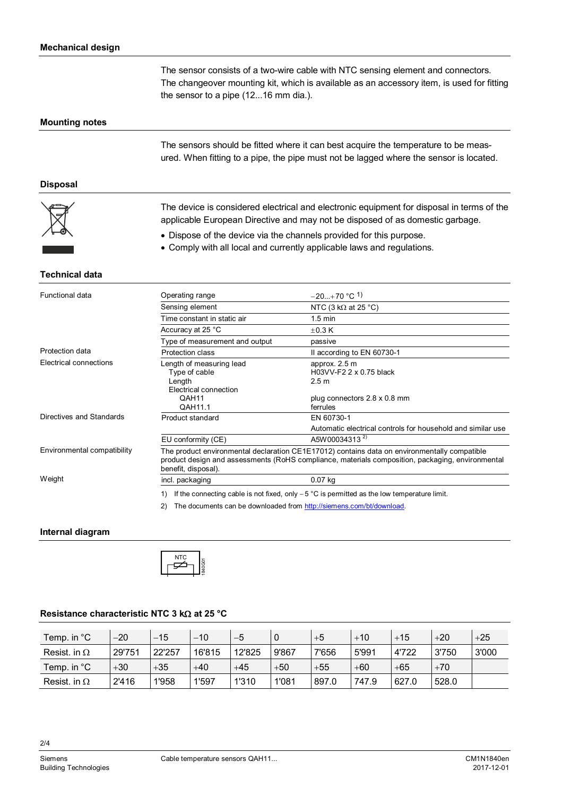The sensor consists of a two-wire cable with NTC sensing element and connectors. The changeover mounting kit, which is available as an accessory item, is used for fitting the sensor to a pipe (12...16 mm dia.).

#### **Mounting notes**

The sensors should be fitted where it can best acquire the temperature to be measured. When fitting to a pipe, the pipe must not be lagged where the sensor is located.

#### **Disposal**



The device is considered electrical and electronic equipment for disposal in terms of the applicable European Directive and may not be disposed of as domestic garbage.

- Dispose of the device via the channels provided for this purpose.
- Comply with all local and currently applicable laws and regulations.

#### **Technical data**

| Functional data                                    | Operating range                                                                                                                                                                                                         | $-20+70$ °C <sup>1</sup> )                                                                                             |  |  |  |  |
|----------------------------------------------------|-------------------------------------------------------------------------------------------------------------------------------------------------------------------------------------------------------------------------|------------------------------------------------------------------------------------------------------------------------|--|--|--|--|
|                                                    | Sensing element                                                                                                                                                                                                         | NTC (3 k $\Omega$ at 25 °C)                                                                                            |  |  |  |  |
|                                                    | Time constant in static air                                                                                                                                                                                             | $1.5 \text{ min}$                                                                                                      |  |  |  |  |
|                                                    | Accuracy at 25 °C                                                                                                                                                                                                       | $\pm$ 0.3 K                                                                                                            |  |  |  |  |
|                                                    | Type of measurement and output                                                                                                                                                                                          | passive                                                                                                                |  |  |  |  |
| Protection data                                    | Protection class                                                                                                                                                                                                        | Il according to EN 60730-1                                                                                             |  |  |  |  |
| Electrical connections<br>Directives and Standards | Length of measuring lead<br>Type of cable<br>Length<br>Electrical connection<br>QAH11<br>QAH11.1<br>Product standard                                                                                                    | approx. 2.5 m<br>H03VV-F2 2 x 0.75 black<br>2.5 <sub>m</sub><br>plug connectors 2.8 x 0.8 mm<br>ferrules<br>EN 60730-1 |  |  |  |  |
|                                                    | EU conformity (CE)                                                                                                                                                                                                      | Automatic electrical controls for household and similar use<br>A5W00034313 <sup>2)</sup>                               |  |  |  |  |
| Environmental compatibility                        | The product environmental declaration CE1E17012) contains data on environmentally compatible<br>product design and assessments (RoHS compliance, materials composition, packaging, environmental<br>benefit, disposal). |                                                                                                                        |  |  |  |  |
| Weight                                             | incl. packaging                                                                                                                                                                                                         | $0.07$ kg                                                                                                              |  |  |  |  |
|                                                    | If the connecting cable is not fixed, only $-5$ °C is permitted as the low temperature limit.<br>1)<br>The documents can be downloaded from http://siemens.com/bt/download.<br>2)                                       |                                                                                                                        |  |  |  |  |

#### **Internal diagram**



#### **Resistance characteristic NTC 3 kΩ at 25 °C**

| Temp. in °C         | -20    | -15    | $-10$  | $-5$   |       | $+5$  | $+10$ | $+15$ | $+20$ | $+25$ |
|---------------------|--------|--------|--------|--------|-------|-------|-------|-------|-------|-------|
| Resist. in $\Omega$ | 29'751 | 22'257 | 16'815 | 12'825 | 9'867 | 7'656 | 5'991 | 4'722 | 3'750 | 3'000 |
| Temp. in °C         | $+30$  | $+35$  | $+40$  | $+45$  | $+50$ | $+55$ | $+60$ | $+65$ | $+70$ |       |
| Resist. in $\Omega$ | 2'416  | 1'958  | 1'597  | 1'310  | 1'081 | 897.0 | 747.9 | 627.0 | 528.0 |       |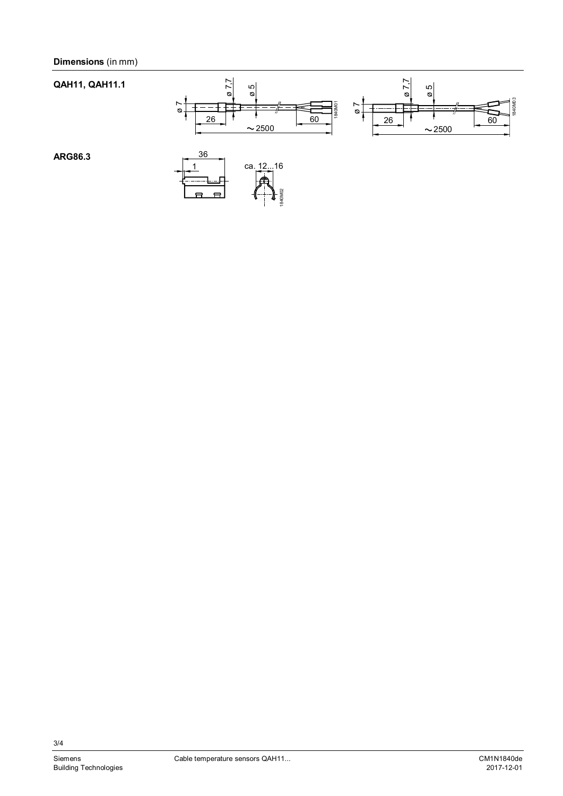

3/4